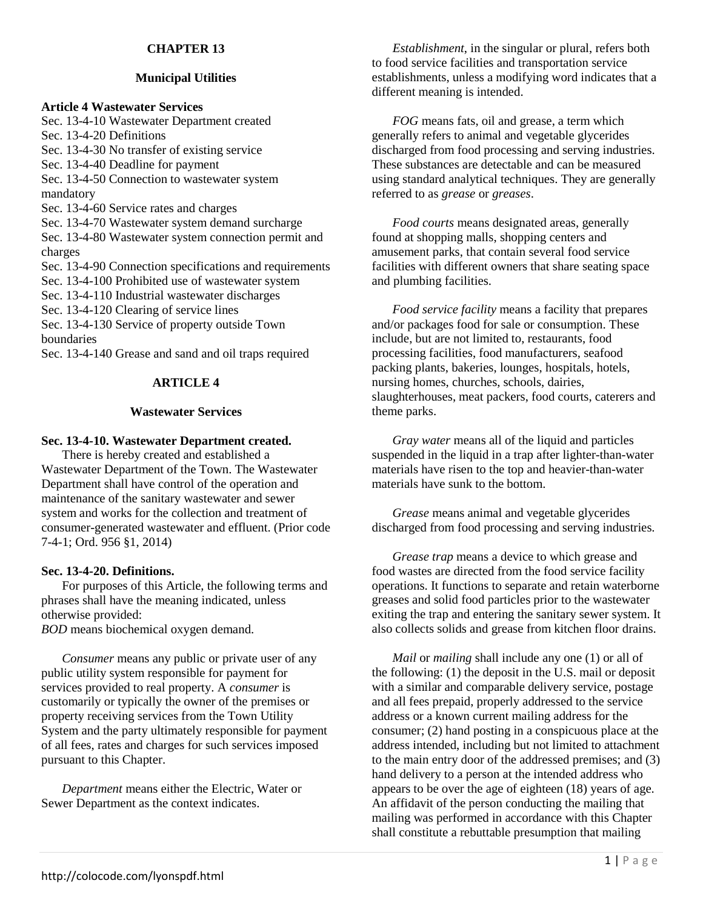# **CHAPTER 13**

## **Municipal Utilities**

## **Article 4 Wastewater Services**

Sec. 13-4-10 Wastewater Department created Sec. 13-4-20 Definitions Sec. 13-4-30 No transfer of existing service Sec. 13-4-40 Deadline for payment Sec. 13-4-50 Connection to wastewater system mandatory Sec. 13-4-60 Service rates and charges Sec. 13-4-70 Wastewater system demand surcharge Sec. 13-4-80 Wastewater system connection permit and charges Sec. 13-4-90 Connection specifications and requirements Sec. 13-4-100 Prohibited use of wastewater system Sec. 13-4-110 Industrial wastewater discharges Sec. 13-4-120 Clearing of service lines Sec. 13-4-130 Service of property outside Town boundaries Sec. 13-4-140 Grease and sand and oil traps required

## **ARTICLE 4**

### **Wastewater Services**

### **Sec. 13-4-10. Wastewater Department created.**

There is hereby created and established a Wastewater Department of the Town. The Wastewater Department shall have control of the operation and maintenance of the sanitary wastewater and sewer system and works for the collection and treatment of consumer-generated wastewater and effluent. (Prior code 7-4-1; Ord. 956 §1, 2014)

### **Sec. 13-4-20. Definitions.**

For purposes of this Article, the following terms and phrases shall have the meaning indicated, unless otherwise provided:

*BOD* means biochemical oxygen demand.

*Consumer* means any public or private user of any public utility system responsible for payment for services provided to real property. A *consumer* is customarily or typically the owner of the premises or property receiving services from the Town Utility System and the party ultimately responsible for payment of all fees, rates and charges for such services imposed pursuant to this Chapter.

*Department* means either the Electric, Water or Sewer Department as the context indicates.

*Establishment*, in the singular or plural, refers both to food service facilities and transportation service establishments, unless a modifying word indicates that a different meaning is intended.

*FOG* means fats, oil and grease, a term which generally refers to animal and vegetable glycerides discharged from food processing and serving industries. These substances are detectable and can be measured using standard analytical techniques. They are generally referred to as *grease* or *greases*.

*Food courts* means designated areas, generally found at shopping malls, shopping centers and amusement parks, that contain several food service facilities with different owners that share seating space and plumbing facilities.

*Food service facility* means a facility that prepares and/or packages food for sale or consumption. These include, but are not limited to, restaurants, food processing facilities, food manufacturers, seafood packing plants, bakeries, lounges, hospitals, hotels, nursing homes, churches, schools, dairies, slaughterhouses, meat packers, food courts, caterers and theme parks.

*Gray water* means all of the liquid and particles suspended in the liquid in a trap after lighter-than-water materials have risen to the top and heavier-than-water materials have sunk to the bottom.

*Grease* means animal and vegetable glycerides discharged from food processing and serving industries.

*Grease trap* means a device to which grease and food wastes are directed from the food service facility operations. It functions to separate and retain waterborne greases and solid food particles prior to the wastewater exiting the trap and entering the sanitary sewer system. It also collects solids and grease from kitchen floor drains.

*Mail* or *mailing* shall include any one (1) or all of the following: (1) the deposit in the U.S. mail or deposit with a similar and comparable delivery service, postage and all fees prepaid, properly addressed to the service address or a known current mailing address for the consumer; (2) hand posting in a conspicuous place at the address intended, including but not limited to attachment to the main entry door of the addressed premises; and (3) hand delivery to a person at the intended address who appears to be over the age of eighteen (18) years of age. An affidavit of the person conducting the mailing that mailing was performed in accordance with this Chapter shall constitute a rebuttable presumption that mailing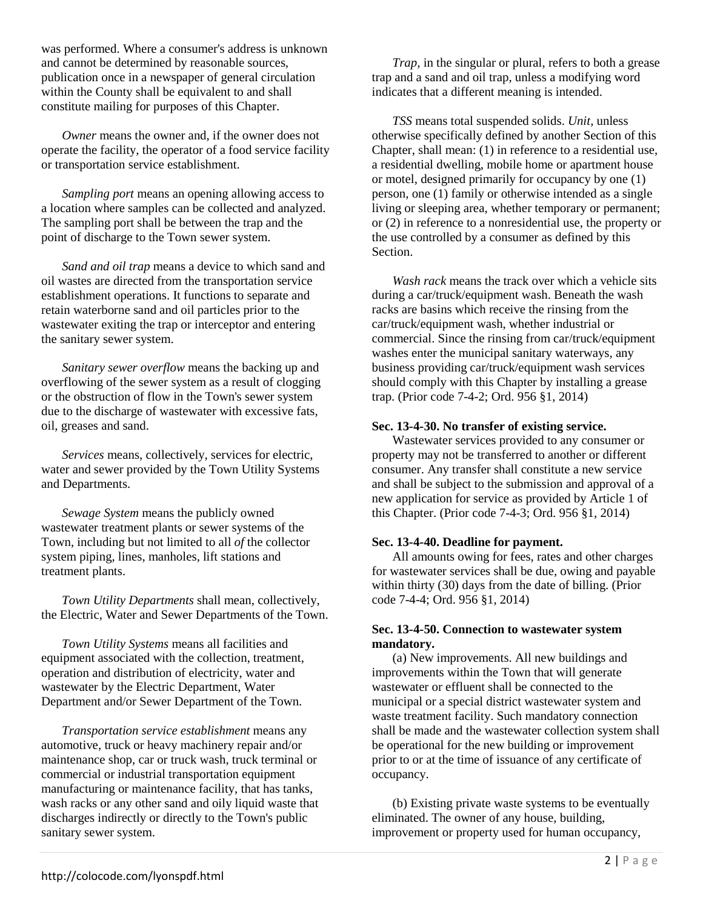was performed. Where a consumer's address is unknown and cannot be determined by reasonable sources, publication once in a newspaper of general circulation within the County shall be equivalent to and shall constitute mailing for purposes of this Chapter.

*Owner* means the owner and, if the owner does not operate the facility, the operator of a food service facility or transportation service establishment.

*Sampling port* means an opening allowing access to a location where samples can be collected and analyzed. The sampling port shall be between the trap and the point of discharge to the Town sewer system.

*Sand and oil trap* means a device to which sand and oil wastes are directed from the transportation service establishment operations. It functions to separate and retain waterborne sand and oil particles prior to the wastewater exiting the trap or interceptor and entering the sanitary sewer system.

*Sanitary sewer overflow* means the backing up and overflowing of the sewer system as a result of clogging or the obstruction of flow in the Town's sewer system due to the discharge of wastewater with excessive fats, oil, greases and sand.

*Services* means, collectively, services for electric, water and sewer provided by the Town Utility Systems and Departments.

*Sewage System* means the publicly owned wastewater treatment plants or sewer systems of the Town, including but not limited to all *of* the collector system piping, lines, manholes, lift stations and treatment plants.

*Town Utility Departments* shall mean, collectively, the Electric, Water and Sewer Departments of the Town.

*Town Utility Systems* means all facilities and equipment associated with the collection, treatment, operation and distribution of electricity, water and wastewater by the Electric Department, Water Department and/or Sewer Department of the Town.

*Transportation service establishment* means any automotive, truck or heavy machinery repair and/or maintenance shop, car or truck wash, truck terminal or commercial or industrial transportation equipment manufacturing or maintenance facility, that has tanks, wash racks or any other sand and oily liquid waste that discharges indirectly or directly to the Town's public sanitary sewer system.

*Trap,* in the singular or plural, refers to both a grease trap and a sand and oil trap, unless a modifying word indicates that a different meaning is intended.

*TSS* means total suspended solids. *Unit,* unless otherwise specifically defined by another Section of this Chapter, shall mean: (1) in reference to a residential use, a residential dwelling, mobile home or apartment house or motel, designed primarily for occupancy by one (1) person, one (1) family or otherwise intended as a single living or sleeping area, whether temporary or permanent; or (2) in reference to a nonresidential use, the property or the use controlled by a consumer as defined by this Section.

*Wash rack* means the track over which a vehicle sits during a car/truck/equipment wash. Beneath the wash racks are basins which receive the rinsing from the car/truck/equipment wash, whether industrial or commercial. Since the rinsing from car/truck/equipment washes enter the municipal sanitary waterways, any business providing car/truck/equipment wash services should comply with this Chapter by installing a grease trap. (Prior code 7-4-2; Ord. 956 §1, 2014)

## **Sec. 13-4-30. No transfer of existing service.**

Wastewater services provided to any consumer or property may not be transferred to another or different consumer. Any transfer shall constitute a new service and shall be subject to the submission and approval of a new application for service as provided by Article 1 of this Chapter. (Prior code 7-4-3; Ord. 956 §1, 2014)

## **Sec. 13-4-40. Deadline for payment.**

All amounts owing for fees, rates and other charges for wastewater services shall be due, owing and payable within thirty (30) days from the date of billing. (Prior code 7-4-4; Ord. 956 §1, 2014)

### **Sec. 13-4-50. Connection to wastewater system mandatory.**

(a) New improvements. All new buildings and improvements within the Town that will generate wastewater or effluent shall be connected to the municipal or a special district wastewater system and waste treatment facility. Such mandatory connection shall be made and the wastewater collection system shall be operational for the new building or improvement prior to or at the time of issuance of any certificate of occupancy.

(b) Existing private waste systems to be eventually eliminated. The owner of any house, building, improvement or property used for human occupancy,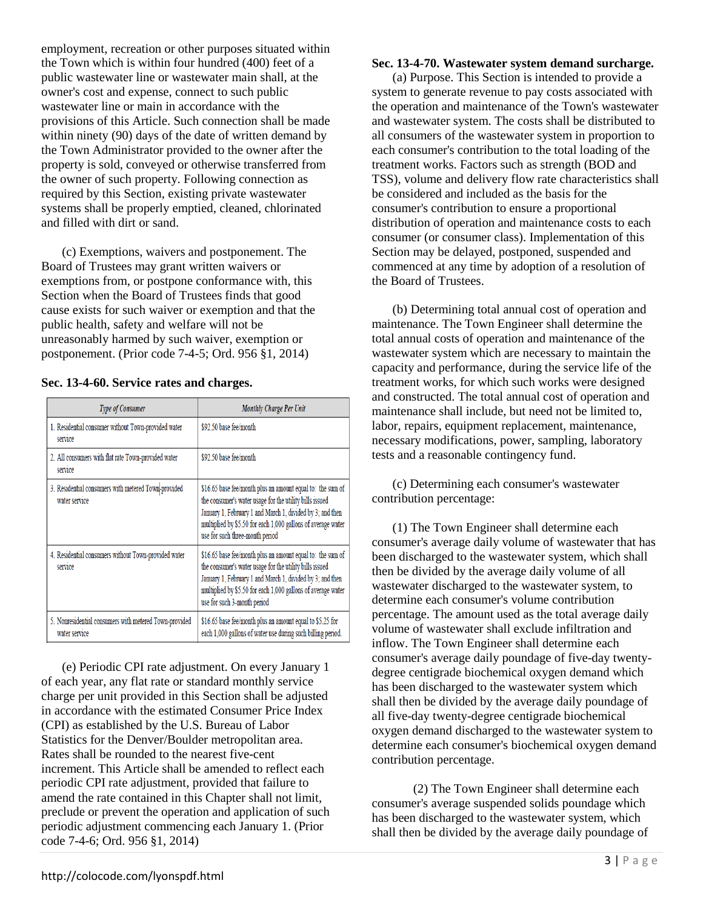employment, recreation or other purposes situated within the Town which is within four hundred (400) feet of a public wastewater line or wastewater main shall, at the owner's cost and expense, connect to such public wastewater line or main in accordance with the provisions of this Article. Such connection shall be made within ninety (90) days of the date of written demand by the Town Administrator provided to the owner after the property is sold, conveyed or otherwise transferred from the owner of such property. Following connection as required by this Section, existing private wastewater systems shall be properly emptied, cleaned, chlorinated and filled with dirt or sand.

(c) Exemptions, waivers and postponement. The Board of Trustees may grant written waivers or exemptions from, or postpone conformance with, this Section when the Board of Trustees finds that good cause exists for such waiver or exemption and that the public health, safety and welfare will not be unreasonably harmed by such waiver, exemption or postponement. (Prior code 7-4-5; Ord. 956 §1, 2014)

**Sec. 13-4-60. Service rates and charges.** 

| <b>Type of Consumer</b>                                                 | Monthly Charge Per Unit                                                                                                                                                                                                                                                               |
|-------------------------------------------------------------------------|---------------------------------------------------------------------------------------------------------------------------------------------------------------------------------------------------------------------------------------------------------------------------------------|
| 1. Residential consumer without Town-provided water<br>service          | \$92.50 base fee/month                                                                                                                                                                                                                                                                |
| 2. All consumers with flat rate Town-provided water<br>service          | \$92.50 base fee/month                                                                                                                                                                                                                                                                |
| 3. Residential consumers with metered Town-provided<br>water service    | \$16.65 base fee/month plus an amount equal to: the sum of<br>the consumer's water usage for the utility bills issued<br>January 1, February 1 and March 1, divided by 3; and then<br>multiplied by \$5.50 for each 1,000 gallons of average water<br>use for such three-month period |
| 4. Residential consumers without Town-provided water<br>service         | \$16.65 base fee/month plus an amount equal to: the sum of<br>the consumer's water usage for the utility bills issued<br>January 1, February 1 and March 1, divided by 3; and then<br>multiplied by \$5.50 for each 1,000 gallons of average water<br>use for such 3-month period     |
| 5. Nonresidential consumers with metered Town-provided<br>water service | \$16.65 base fee/month plus an amount equal to \$5.25 for<br>each 1,000 gallons of water use during such billing period.                                                                                                                                                              |

(e) Periodic CPI rate adjustment. On every January 1 of each year, any flat rate or standard monthly service charge per unit provided in this Section shall be adjusted in accordance with the estimated Consumer Price Index (CPI) as established by the U.S. Bureau of Labor Statistics for the Denver/Boulder metropolitan area. Rates shall be rounded to the nearest five-cent increment. This Article shall be amended to reflect each periodic CPI rate adjustment, provided that failure to amend the rate contained in this Chapter shall not limit, preclude or prevent the operation and application of such periodic adjustment commencing each January 1. (Prior code 7-4-6; Ord. 956 §1, 2014)

# **Sec. 13-4-70. Wastewater system demand surcharge.**

(a) Purpose. This Section is intended to provide a system to generate revenue to pay costs associated with the operation and maintenance of the Town's wastewater and wastewater system. The costs shall be distributed to all consumers of the wastewater system in proportion to each consumer's contribution to the total loading of the treatment works. Factors such as strength (BOD and TSS), volume and delivery flow rate characteristics shall be considered and included as the basis for the consumer's contribution to ensure a proportional distribution of operation and maintenance costs to each consumer (or consumer class). Implementation of this Section may be delayed, postponed, suspended and commenced at any time by adoption of a resolution of the Board of Trustees.

(b) Determining total annual cost of operation and maintenance. The Town Engineer shall determine the total annual costs of operation and maintenance of the wastewater system which are necessary to maintain the capacity and performance, during the service life of the treatment works, for which such works were designed and constructed. The total annual cost of operation and maintenance shall include, but need not be limited to, labor, repairs, equipment replacement, maintenance, necessary modifications, power, sampling, laboratory tests and a reasonable contingency fund.

(c) Determining each consumer's wastewater contribution percentage:

(1) The Town Engineer shall determine each consumer's average daily volume of wastewater that has been discharged to the wastewater system, which shall then be divided by the average daily volume of all wastewater discharged to the wastewater system, to determine each consumer's volume contribution percentage. The amount used as the total average daily volume of wastewater shall exclude infiltration and inflow. The Town Engineer shall determine each consumer's average daily poundage of five-day twentydegree centigrade biochemical oxygen demand which has been discharged to the wastewater system which shall then be divided by the average daily poundage of all five-day twenty-degree centigrade biochemical oxygen demand discharged to the wastewater system to determine each consumer's biochemical oxygen demand contribution percentage.

(2) The Town Engineer shall determine each consumer's average suspended solids poundage which has been discharged to the wastewater system, which shall then be divided by the average daily poundage of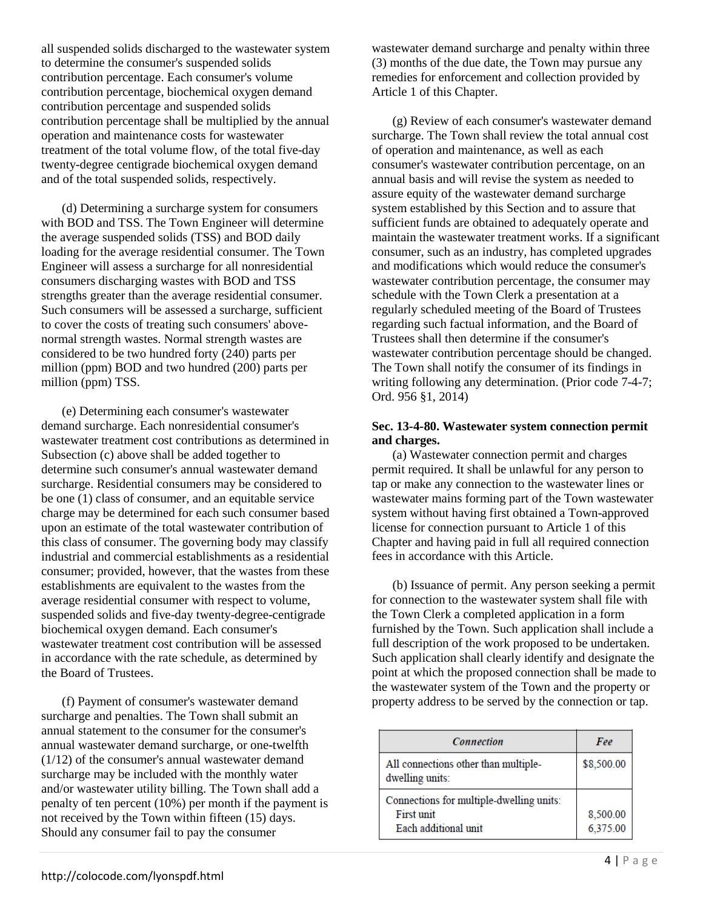all suspended solids discharged to the wastewater system to determine the consumer's suspended solids contribution percentage. Each consumer's volume contribution percentage, biochemical oxygen demand contribution percentage and suspended solids contribution percentage shall be multiplied by the annual operation and maintenance costs for wastewater treatment of the total volume flow, of the total five-day twenty-degree centigrade biochemical oxygen demand and of the total suspended solids, respectively.

(d) Determining a surcharge system for consumers with BOD and TSS. The Town Engineer will determine the average suspended solids (TSS) and BOD daily loading for the average residential consumer. The Town Engineer will assess a surcharge for all nonresidential consumers discharging wastes with BOD and TSS strengths greater than the average residential consumer. Such consumers will be assessed a surcharge, sufficient to cover the costs of treating such consumers' abovenormal strength wastes. Normal strength wastes are considered to be two hundred forty (240) parts per million (ppm) BOD and two hundred (200) parts per million (ppm) TSS.

(e) Determining each consumer's wastewater demand surcharge. Each nonresidential consumer's wastewater treatment cost contributions as determined in Subsection (c) above shall be added together to determine such consumer's annual wastewater demand surcharge. Residential consumers may be considered to be one (1) class of consumer, and an equitable service charge may be determined for each such consumer based upon an estimate of the total wastewater contribution of this class of consumer. The governing body may classify industrial and commercial establishments as a residential consumer; provided, however, that the wastes from these establishments are equivalent to the wastes from the average residential consumer with respect to volume, suspended solids and five-day twenty-degree-centigrade biochemical oxygen demand. Each consumer's wastewater treatment cost contribution will be assessed in accordance with the rate schedule, as determined by the Board of Trustees.

(f) Payment of consumer's wastewater demand surcharge and penalties. The Town shall submit an annual statement to the consumer for the consumer's annual wastewater demand surcharge, or one-twelfth (1/12) of the consumer's annual wastewater demand surcharge may be included with the monthly water and/or wastewater utility billing. The Town shall add a penalty of ten percent (10%) per month if the payment is not received by the Town within fifteen (15) days. Should any consumer fail to pay the consumer

wastewater demand surcharge and penalty within three (3) months of the due date, the Town may pursue any remedies for enforcement and collection provided by Article 1 of this Chapter.

(g) Review of each consumer's wastewater demand surcharge. The Town shall review the total annual cost of operation and maintenance, as well as each consumer's wastewater contribution percentage, on an annual basis and will revise the system as needed to assure equity of the wastewater demand surcharge system established by this Section and to assure that sufficient funds are obtained to adequately operate and maintain the wastewater treatment works. If a significant consumer, such as an industry, has completed upgrades and modifications which would reduce the consumer's wastewater contribution percentage, the consumer may schedule with the Town Clerk a presentation at a regularly scheduled meeting of the Board of Trustees regarding such factual information, and the Board of Trustees shall then determine if the consumer's wastewater contribution percentage should be changed. The Town shall notify the consumer of its findings in writing following any determination. (Prior code 7-4-7; Ord. 956 §1, 2014)

## **Sec. 13-4-80. Wastewater system connection permit and charges.**

(a) Wastewater connection permit and charges permit required. It shall be unlawful for any person to tap or make any connection to the wastewater lines or wastewater mains forming part of the Town wastewater system without having first obtained a Town-approved license for connection pursuant to Article 1 of this Chapter and having paid in full all required connection fees in accordance with this Article.

(b) Issuance of permit. Any person seeking a permit for connection to the wastewater system shall file with the Town Clerk a completed application in a form furnished by the Town. Such application shall include a full description of the work proposed to be undertaken. Such application shall clearly identify and designate the point at which the proposed connection shall be made to the wastewater system of the Town and the property or property address to be served by the connection or tap.

| <b>Connection</b>                                                              | Fee                  |
|--------------------------------------------------------------------------------|----------------------|
| All connections other than multiple-<br>dwelling units:                        | \$8,500.00           |
| Connections for multiple-dwelling units:<br>First unit<br>Each additional unit | 8,500.00<br>6,375.00 |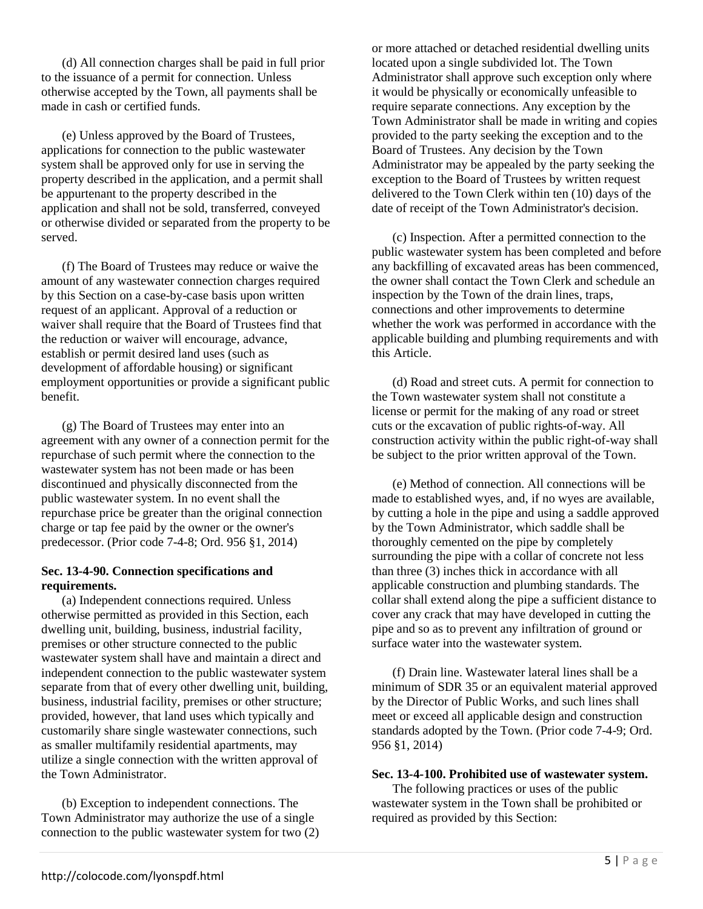(d) All connection charges shall be paid in full prior to the issuance of a permit for connection. Unless otherwise accepted by the Town, all payments shall be made in cash or certified funds.

(e) Unless approved by the Board of Trustees, applications for connection to the public wastewater system shall be approved only for use in serving the property described in the application, and a permit shall be appurtenant to the property described in the application and shall not be sold, transferred, conveyed or otherwise divided or separated from the property to be served.

(f) The Board of Trustees may reduce or waive the amount of any wastewater connection charges required by this Section on a case-by-case basis upon written request of an applicant. Approval of a reduction or waiver shall require that the Board of Trustees find that the reduction or waiver will encourage, advance, establish or permit desired land uses (such as development of affordable housing) or significant employment opportunities or provide a significant public benefit.

(g) The Board of Trustees may enter into an agreement with any owner of a connection permit for the repurchase of such permit where the connection to the wastewater system has not been made or has been discontinued and physically disconnected from the public wastewater system. In no event shall the repurchase price be greater than the original connection charge or tap fee paid by the owner or the owner's predecessor. (Prior code 7-4-8; Ord. 956 §1, 2014)

## **Sec. 13-4-90. Connection specifications and requirements.**

(a) Independent connections required. Unless otherwise permitted as provided in this Section, each dwelling unit, building, business, industrial facility, premises or other structure connected to the public wastewater system shall have and maintain a direct and independent connection to the public wastewater system separate from that of every other dwelling unit, building, business, industrial facility, premises or other structure; provided, however, that land uses which typically and customarily share single wastewater connections, such as smaller multifamily residential apartments, may utilize a single connection with the written approval of the Town Administrator.

(b) Exception to independent connections. The Town Administrator may authorize the use of a single connection to the public wastewater system for two (2)

or more attached or detached residential dwelling units located upon a single subdivided lot. The Town Administrator shall approve such exception only where it would be physically or economically unfeasible to require separate connections. Any exception by the Town Administrator shall be made in writing and copies provided to the party seeking the exception and to the Board of Trustees. Any decision by the Town Administrator may be appealed by the party seeking the exception to the Board of Trustees by written request delivered to the Town Clerk within ten (10) days of the date of receipt of the Town Administrator's decision.

(c) Inspection. After a permitted connection to the public wastewater system has been completed and before any backfilling of excavated areas has been commenced, the owner shall contact the Town Clerk and schedule an inspection by the Town of the drain lines, traps, connections and other improvements to determine whether the work was performed in accordance with the applicable building and plumbing requirements and with this Article.

(d) Road and street cuts. A permit for connection to the Town wastewater system shall not constitute a license or permit for the making of any road or street cuts or the excavation of public rights-of-way. All construction activity within the public right-of-way shall be subject to the prior written approval of the Town.

(e) Method of connection. All connections will be made to established wyes, and, if no wyes are available, by cutting a hole in the pipe and using a saddle approved by the Town Administrator, which saddle shall be thoroughly cemented on the pipe by completely surrounding the pipe with a collar of concrete not less than three (3) inches thick in accordance with all applicable construction and plumbing standards. The collar shall extend along the pipe a sufficient distance to cover any crack that may have developed in cutting the pipe and so as to prevent any infiltration of ground or surface water into the wastewater system.

(f) Drain line. Wastewater lateral lines shall be a minimum of SDR 35 or an equivalent material approved by the Director of Public Works, and such lines shall meet or exceed all applicable design and construction standards adopted by the Town. (Prior code 7-4-9; Ord. 956 §1, 2014)

## **Sec. 13-4-100. Prohibited use of wastewater system.**

The following practices or uses of the public wastewater system in the Town shall be prohibited or required as provided by this Section: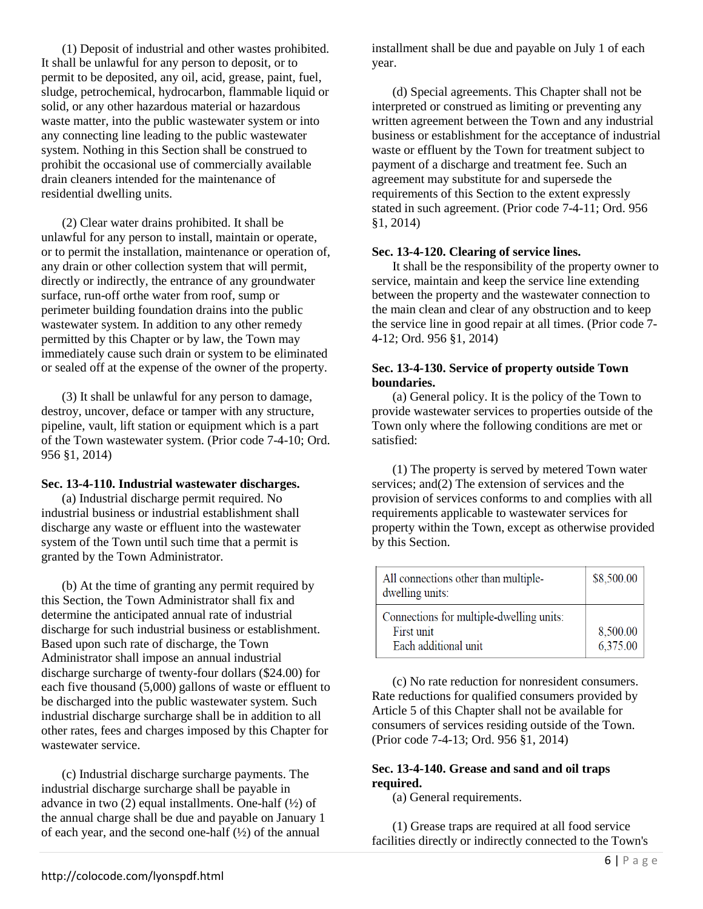(1) Deposit of industrial and other wastes prohibited. It shall be unlawful for any person to deposit, or to permit to be deposited, any oil, acid, grease, paint, fuel, sludge, petrochemical, hydrocarbon, flammable liquid or solid, or any other hazardous material or hazardous waste matter, into the public wastewater system or into any connecting line leading to the public wastewater system. Nothing in this Section shall be construed to prohibit the occasional use of commercially available drain cleaners intended for the maintenance of residential dwelling units.

(2) Clear water drains prohibited. It shall be unlawful for any person to install, maintain or operate, or to permit the installation, maintenance or operation of, any drain or other collection system that will permit, directly or indirectly, the entrance of any groundwater surface, run-off orthe water from roof, sump or perimeter building foundation drains into the public wastewater system. In addition to any other remedy permitted by this Chapter or by law, the Town may immediately cause such drain or system to be eliminated or sealed off at the expense of the owner of the property.

(3) It shall be unlawful for any person to damage, destroy, uncover, deface or tamper with any structure, pipeline, vault, lift station or equipment which is a part of the Town wastewater system. (Prior code 7-4-10; Ord. 956 §1, 2014)

#### **Sec. 13-4-110. Industrial wastewater discharges.**

(a) Industrial discharge permit required. No industrial business or industrial establishment shall discharge any waste or effluent into the wastewater system of the Town until such time that a permit is granted by the Town Administrator.

(b) At the time of granting any permit required by this Section, the Town Administrator shall fix and determine the anticipated annual rate of industrial discharge for such industrial business or establishment. Based upon such rate of discharge, the Town Administrator shall impose an annual industrial discharge surcharge of twenty-four dollars (\$24.00) for each five thousand (5,000) gallons of waste or effluent to be discharged into the public wastewater system. Such industrial discharge surcharge shall be in addition to all other rates, fees and charges imposed by this Chapter for wastewater service.

(c) Industrial discharge surcharge payments. The industrial discharge surcharge shall be payable in advance in two  $(2)$  equal installments. One-half  $(\frac{1}{2})$  of the annual charge shall be due and payable on January 1 of each year, and the second one-half  $(\frac{1}{2})$  of the annual

installment shall be due and payable on July 1 of each year.

(d) Special agreements. This Chapter shall not be interpreted or construed as limiting or preventing any written agreement between the Town and any industrial business or establishment for the acceptance of industrial waste or effluent by the Town for treatment subject to payment of a discharge and treatment fee. Such an agreement may substitute for and supersede the requirements of this Section to the extent expressly stated in such agreement. (Prior code 7-4-11; Ord. 956 §1, 2014)

### **Sec. 13-4-120. Clearing of service lines.**

It shall be the responsibility of the property owner to service, maintain and keep the service line extending between the property and the wastewater connection to the main clean and clear of any obstruction and to keep the service line in good repair at all times. (Prior code 7- 4-12; Ord. 956 §1, 2014)

## **Sec. 13-4-130. Service of property outside Town boundaries.**

(a) General policy. It is the policy of the Town to provide wastewater services to properties outside of the Town only where the following conditions are met or satisfied:

(1) The property is served by metered Town water services; and(2) The extension of services and the provision of services conforms to and complies with all requirements applicable to wastewater services for property within the Town, except as otherwise provided by this Section.

| All connections other than multiple-<br>dwelling units: | \$8,500.00 |
|---------------------------------------------------------|------------|
| Connections for multiple-dwelling units:                |            |
| First unit                                              | 8,500.00   |
| Each additional unit                                    | 6,375.00   |

(c) No rate reduction for nonresident consumers. Rate reductions for qualified consumers provided by Article 5 of this Chapter shall not be available for consumers of services residing outside of the Town. (Prior code 7-4-13; Ord. 956 §1, 2014)

## **Sec. 13-4-140. Grease and sand and oil traps required.**

(a) General requirements.

(1) Grease traps are required at all food service facilities directly or indirectly connected to the Town's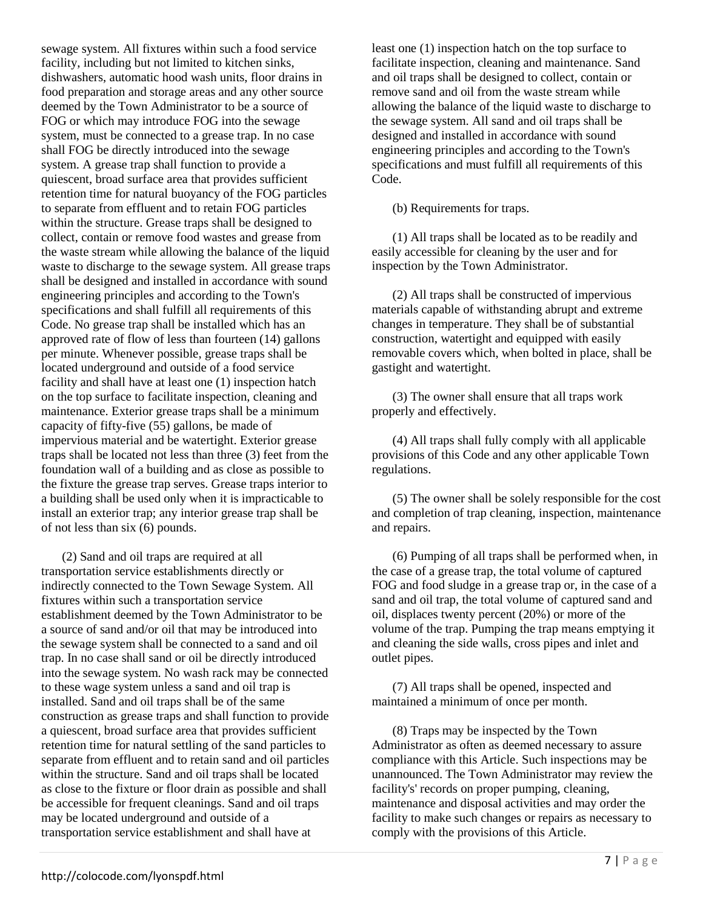sewage system. All fixtures within such a food service facility, including but not limited to kitchen sinks, dishwashers, automatic hood wash units, floor drains in food preparation and storage areas and any other source deemed by the Town Administrator to be a source of FOG or which may introduce FOG into the sewage system, must be connected to a grease trap. In no case shall FOG be directly introduced into the sewage system. A grease trap shall function to provide a quiescent, broad surface area that provides sufficient retention time for natural buoyancy of the FOG particles to separate from effluent and to retain FOG particles within the structure. Grease traps shall be designed to collect, contain or remove food wastes and grease from the waste stream while allowing the balance of the liquid waste to discharge to the sewage system. All grease traps shall be designed and installed in accordance with sound engineering principles and according to the Town's specifications and shall fulfill all requirements of this Code. No grease trap shall be installed which has an approved rate of flow of less than fourteen (14) gallons per minute. Whenever possible, grease traps shall be located underground and outside of a food service facility and shall have at least one (1) inspection hatch on the top surface to facilitate inspection, cleaning and maintenance. Exterior grease traps shall be a minimum capacity of fifty-five (55) gallons, be made of impervious material and be watertight. Exterior grease traps shall be located not less than three (3) feet from the foundation wall of a building and as close as possible to the fixture the grease trap serves. Grease traps interior to a building shall be used only when it is impracticable to install an exterior trap; any interior grease trap shall be of not less than six (6) pounds.

(2) Sand and oil traps are required at all transportation service establishments directly or indirectly connected to the Town Sewage System. All fixtures within such a transportation service establishment deemed by the Town Administrator to be a source of sand and/or oil that may be introduced into the sewage system shall be connected to a sand and oil trap. In no case shall sand or oil be directly introduced into the sewage system. No wash rack may be connected to these wage system unless a sand and oil trap is installed. Sand and oil traps shall be of the same construction as grease traps and shall function to provide a quiescent, broad surface area that provides sufficient retention time for natural settling of the sand particles to separate from effluent and to retain sand and oil particles within the structure. Sand and oil traps shall be located as close to the fixture or floor drain as possible and shall be accessible for frequent cleanings. Sand and oil traps may be located underground and outside of a transportation service establishment and shall have at

least one (1) inspection hatch on the top surface to facilitate inspection, cleaning and maintenance. Sand and oil traps shall be designed to collect, contain or remove sand and oil from the waste stream while allowing the balance of the liquid waste to discharge to the sewage system. All sand and oil traps shall be designed and installed in accordance with sound engineering principles and according to the Town's specifications and must fulfill all requirements of this Code.

(b) Requirements for traps.

(1) All traps shall be located as to be readily and easily accessible for cleaning by the user and for inspection by the Town Administrator.

(2) All traps shall be constructed of impervious materials capable of withstanding abrupt and extreme changes in temperature. They shall be of substantial construction, watertight and equipped with easily removable covers which, when bolted in place, shall be gastight and watertight.

(3) The owner shall ensure that all traps work properly and effectively.

(4) All traps shall fully comply with all applicable provisions of this Code and any other applicable Town regulations.

(5) The owner shall be solely responsible for the cost and completion of trap cleaning, inspection, maintenance and repairs.

(6) Pumping of all traps shall be performed when, in the case of a grease trap, the total volume of captured FOG and food sludge in a grease trap or, in the case of a sand and oil trap, the total volume of captured sand and oil, displaces twenty percent (20%) or more of the volume of the trap. Pumping the trap means emptying it and cleaning the side walls, cross pipes and inlet and outlet pipes.

(7) All traps shall be opened, inspected and maintained a minimum of once per month.

(8) Traps may be inspected by the Town Administrator as often as deemed necessary to assure compliance with this Article. Such inspections may be unannounced. The Town Administrator may review the facility's' records on proper pumping, cleaning, maintenance and disposal activities and may order the facility to make such changes or repairs as necessary to comply with the provisions of this Article.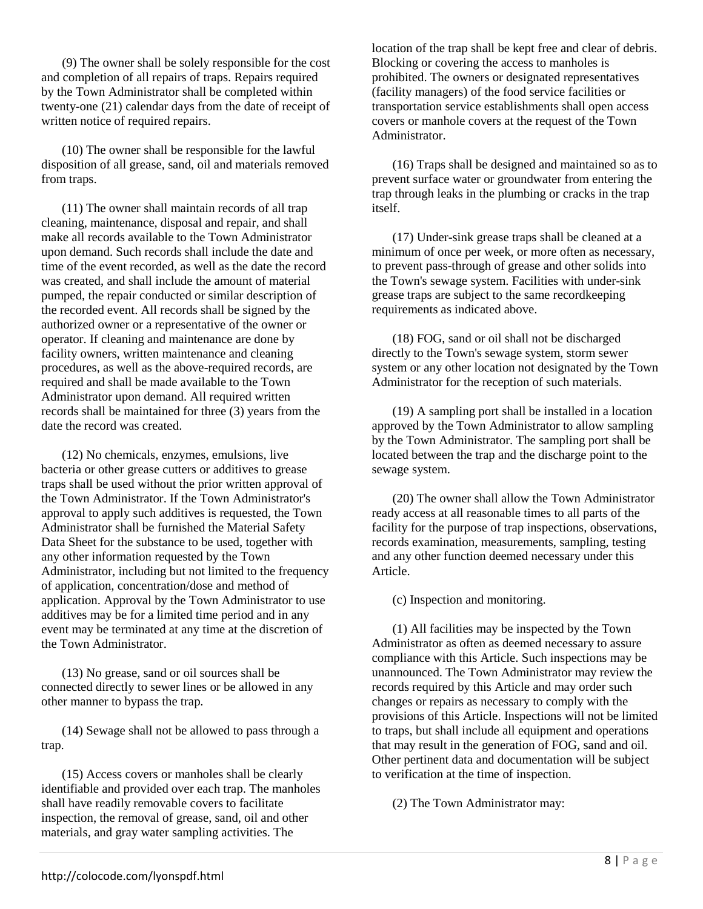(9) The owner shall be solely responsible for the cost and completion of all repairs of traps. Repairs required by the Town Administrator shall be completed within twenty-one (21) calendar days from the date of receipt of written notice of required repairs.

(10) The owner shall be responsible for the lawful disposition of all grease, sand, oil and materials removed from traps.

(11) The owner shall maintain records of all trap cleaning, maintenance, disposal and repair, and shall make all records available to the Town Administrator upon demand. Such records shall include the date and time of the event recorded, as well as the date the record was created, and shall include the amount of material pumped, the repair conducted or similar description of the recorded event. All records shall be signed by the authorized owner or a representative of the owner or operator. If cleaning and maintenance are done by facility owners, written maintenance and cleaning procedures, as well as the above-required records, are required and shall be made available to the Town Administrator upon demand. All required written records shall be maintained for three (3) years from the date the record was created.

(12) No chemicals, enzymes, emulsions, live bacteria or other grease cutters or additives to grease traps shall be used without the prior written approval of the Town Administrator. If the Town Administrator's approval to apply such additives is requested, the Town Administrator shall be furnished the Material Safety Data Sheet for the substance to be used, together with any other information requested by the Town Administrator, including but not limited to the frequency of application, concentration/dose and method of application. Approval by the Town Administrator to use additives may be for a limited time period and in any event may be terminated at any time at the discretion of the Town Administrator.

(13) No grease, sand or oil sources shall be connected directly to sewer lines or be allowed in any other manner to bypass the trap.

(14) Sewage shall not be allowed to pass through a trap.

(15) Access covers or manholes shall be clearly identifiable and provided over each trap. The manholes shall have readily removable covers to facilitate inspection, the removal of grease, sand, oil and other materials, and gray water sampling activities. The

location of the trap shall be kept free and clear of debris. Blocking or covering the access to manholes is prohibited. The owners or designated representatives (facility managers) of the food service facilities or transportation service establishments shall open access covers or manhole covers at the request of the Town Administrator.

(16) Traps shall be designed and maintained so as to prevent surface water or groundwater from entering the trap through leaks in the plumbing or cracks in the trap itself.

(17) Under-sink grease traps shall be cleaned at a minimum of once per week, or more often as necessary, to prevent pass-through of grease and other solids into the Town's sewage system. Facilities with under-sink grease traps are subject to the same recordkeeping requirements as indicated above.

(18) FOG, sand or oil shall not be discharged directly to the Town's sewage system, storm sewer system or any other location not designated by the Town Administrator for the reception of such materials.

(19) A sampling port shall be installed in a location approved by the Town Administrator to allow sampling by the Town Administrator. The sampling port shall be located between the trap and the discharge point to the sewage system.

(20) The owner shall allow the Town Administrator ready access at all reasonable times to all parts of the facility for the purpose of trap inspections, observations, records examination, measurements, sampling, testing and any other function deemed necessary under this Article.

(c) Inspection and monitoring.

(1) All facilities may be inspected by the Town Administrator as often as deemed necessary to assure compliance with this Article. Such inspections may be unannounced. The Town Administrator may review the records required by this Article and may order such changes or repairs as necessary to comply with the provisions of this Article. Inspections will not be limited to traps, but shall include all equipment and operations that may result in the generation of FOG, sand and oil. Other pertinent data and documentation will be subject to verification at the time of inspection.

(2) The Town Administrator may: